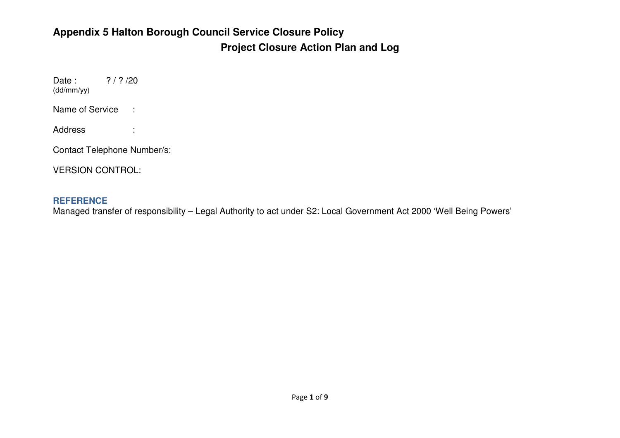#### **Appendix 5 Halton Borough Council Service Closure Policy Project Closure Action Plan and Log**

Date:  $? / ? / 20$ (dd/mm/yy)

Name of Service :

Address :

Contact Telephone Number/s:

VERSION CONTROL:

#### **REFERENCE**

Managed transfer of responsibility – Legal Authority to act under S2: Local Government Act 2000 'Well Being Powers'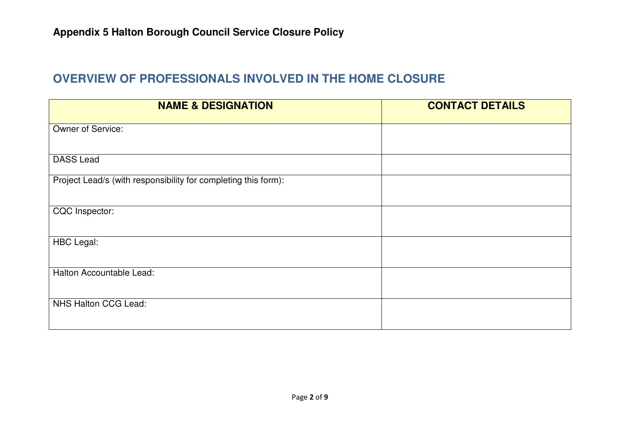#### **OVERVIEW OF PROFESSIONALS INVOLVED IN THE HOME CLOSURE**

| <b>NAME &amp; DESIGNATION</b>                                  | <b>CONTACT DETAILS</b> |
|----------------------------------------------------------------|------------------------|
| Owner of Service:                                              |                        |
| <b>DASS Lead</b>                                               |                        |
| Project Lead/s (with responsibility for completing this form): |                        |
| CQC Inspector:                                                 |                        |
| <b>HBC Legal:</b>                                              |                        |
| Halton Accountable Lead:                                       |                        |
| <b>NHS Halton CCG Lead:</b>                                    |                        |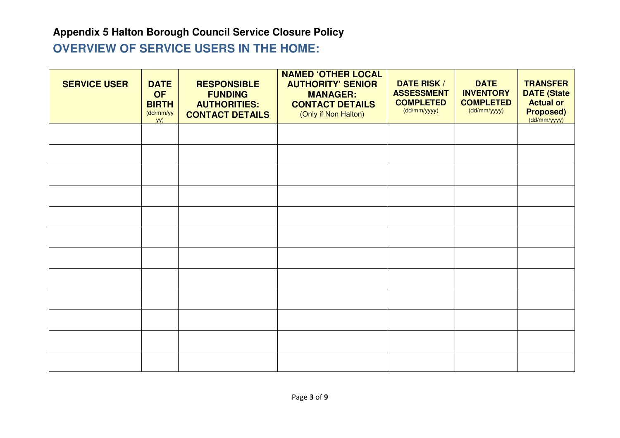#### **Appendix 5 Halton Borough Council Service Closure Policy OVERVIEW OF SERVICE USERS IN THE HOME:**

| <b>SERVICE USER</b> | <b>DATE</b><br><b>OF</b><br><b>BIRTH</b><br>(dd/mm/yy<br>yy) | <b>RESPONSIBLE</b><br><b>FUNDING</b><br><b>AUTHORITIES:</b><br><b>CONTACT DETAILS</b> | <b>NAMED 'OTHER LOCAL</b><br><b>AUTHORITY' SENIOR</b><br><b>MANAGER:</b><br><b>CONTACT DETAILS</b><br>(Only if Non Halton) | <b>DATE RISK /</b><br><b>ASSESSMENT</b><br><b>COMPLETED</b><br>(dd/mm/yyyy) | <b>DATE</b><br><b>INVENTORY</b><br><b>COMPLETED</b><br>(dd/mm/yyyy) | <b>TRANSFER</b><br><b>DATE (State</b><br><b>Actual or</b><br><b>Proposed)</b><br>(dd/mm/yyyy) |
|---------------------|--------------------------------------------------------------|---------------------------------------------------------------------------------------|----------------------------------------------------------------------------------------------------------------------------|-----------------------------------------------------------------------------|---------------------------------------------------------------------|-----------------------------------------------------------------------------------------------|
|                     |                                                              |                                                                                       |                                                                                                                            |                                                                             |                                                                     |                                                                                               |
|                     |                                                              |                                                                                       |                                                                                                                            |                                                                             |                                                                     |                                                                                               |
|                     |                                                              |                                                                                       |                                                                                                                            |                                                                             |                                                                     |                                                                                               |
|                     |                                                              |                                                                                       |                                                                                                                            |                                                                             |                                                                     |                                                                                               |
|                     |                                                              |                                                                                       |                                                                                                                            |                                                                             |                                                                     |                                                                                               |
|                     |                                                              |                                                                                       |                                                                                                                            |                                                                             |                                                                     |                                                                                               |
|                     |                                                              |                                                                                       |                                                                                                                            |                                                                             |                                                                     |                                                                                               |
|                     |                                                              |                                                                                       |                                                                                                                            |                                                                             |                                                                     |                                                                                               |
|                     |                                                              |                                                                                       |                                                                                                                            |                                                                             |                                                                     |                                                                                               |
|                     |                                                              |                                                                                       |                                                                                                                            |                                                                             |                                                                     |                                                                                               |
|                     |                                                              |                                                                                       |                                                                                                                            |                                                                             |                                                                     |                                                                                               |
|                     |                                                              |                                                                                       |                                                                                                                            |                                                                             |                                                                     |                                                                                               |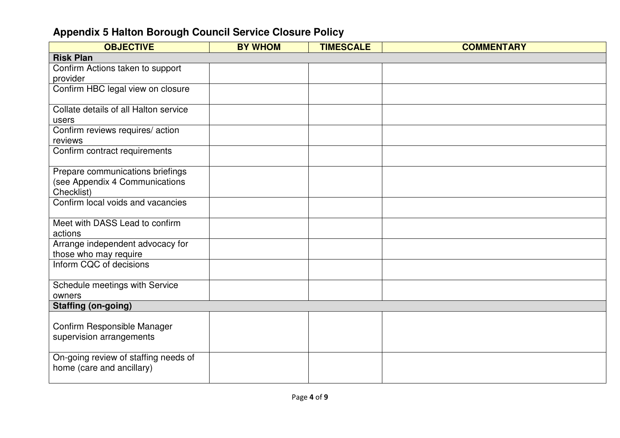| <b>OBJECTIVE</b>                                                   | <b>BY WHOM</b> | <b>TIMESCALE</b> | <b>COMMENTARY</b> |
|--------------------------------------------------------------------|----------------|------------------|-------------------|
| <b>Risk Plan</b>                                                   |                |                  |                   |
| Confirm Actions taken to support                                   |                |                  |                   |
| provider                                                           |                |                  |                   |
| Confirm HBC legal view on closure                                  |                |                  |                   |
|                                                                    |                |                  |                   |
| Collate details of all Halton service                              |                |                  |                   |
| users                                                              |                |                  |                   |
| Confirm reviews requires/action                                    |                |                  |                   |
| reviews                                                            |                |                  |                   |
| Confirm contract requirements                                      |                |                  |                   |
|                                                                    |                |                  |                   |
| Prepare communications briefings<br>(see Appendix 4 Communications |                |                  |                   |
| Checklist)                                                         |                |                  |                   |
| Confirm local voids and vacancies                                  |                |                  |                   |
|                                                                    |                |                  |                   |
| Meet with DASS Lead to confirm                                     |                |                  |                   |
| actions                                                            |                |                  |                   |
| Arrange independent advocacy for                                   |                |                  |                   |
| those who may require                                              |                |                  |                   |
| Inform CQC of decisions                                            |                |                  |                   |
|                                                                    |                |                  |                   |
| Schedule meetings with Service                                     |                |                  |                   |
| owners                                                             |                |                  |                   |
| <b>Staffing (on-going)</b>                                         |                |                  |                   |
|                                                                    |                |                  |                   |
| Confirm Responsible Manager                                        |                |                  |                   |
| supervision arrangements                                           |                |                  |                   |
|                                                                    |                |                  |                   |
| On-going review of staffing needs of<br>home (care and ancillary)  |                |                  |                   |
|                                                                    |                |                  |                   |
|                                                                    |                |                  |                   |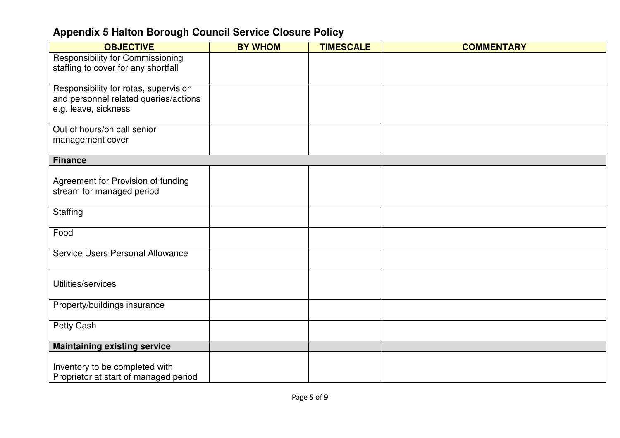| <b>OBJECTIVE</b>                                                                                       | <b>BY WHOM</b> | <b>TIMESCALE</b> | <b>COMMENTARY</b> |
|--------------------------------------------------------------------------------------------------------|----------------|------------------|-------------------|
| <b>Responsibility for Commissioning</b><br>staffing to cover for any shortfall                         |                |                  |                   |
| Responsibility for rotas, supervision<br>and personnel related queries/actions<br>e.g. leave, sickness |                |                  |                   |
| Out of hours/on call senior<br>management cover                                                        |                |                  |                   |
| <b>Finance</b>                                                                                         |                |                  |                   |
| Agreement for Provision of funding<br>stream for managed period                                        |                |                  |                   |
| Staffing                                                                                               |                |                  |                   |
| Food                                                                                                   |                |                  |                   |
| Service Users Personal Allowance                                                                       |                |                  |                   |
| Utilities/services                                                                                     |                |                  |                   |
| Property/buildings insurance                                                                           |                |                  |                   |
| Petty Cash                                                                                             |                |                  |                   |
| <b>Maintaining existing service</b>                                                                    |                |                  |                   |
| Inventory to be completed with<br>Proprietor at start of managed period                                |                |                  |                   |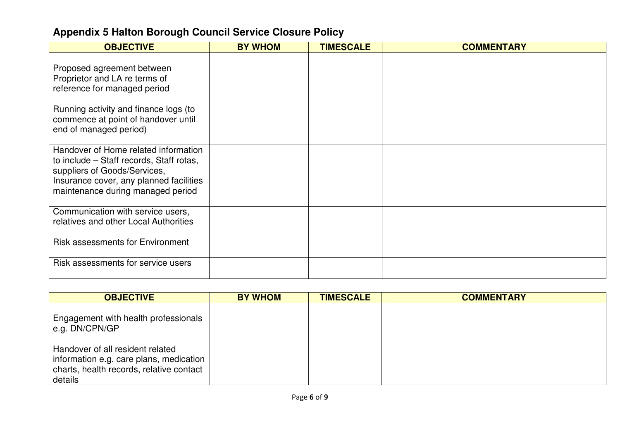| <b>OBJECTIVE</b>                                                             | <b>BY WHOM</b> | <b>TIMESCALE</b> | <b>COMMENTARY</b> |
|------------------------------------------------------------------------------|----------------|------------------|-------------------|
|                                                                              |                |                  |                   |
| Proposed agreement between                                                   |                |                  |                   |
| Proprietor and LA re terms of                                                |                |                  |                   |
| reference for managed period                                                 |                |                  |                   |
| Running activity and finance logs (to                                        |                |                  |                   |
| commence at point of handover until                                          |                |                  |                   |
| end of managed period)                                                       |                |                  |                   |
| Handover of Home related information                                         |                |                  |                   |
| to include – Staff records, Staff rotas,                                     |                |                  |                   |
| suppliers of Goods/Services,                                                 |                |                  |                   |
| Insurance cover, any planned facilities<br>maintenance during managed period |                |                  |                   |
|                                                                              |                |                  |                   |
| Communication with service users,                                            |                |                  |                   |
| relatives and other Local Authorities                                        |                |                  |                   |
|                                                                              |                |                  |                   |
| <b>Risk assessments for Environment</b>                                      |                |                  |                   |
| Risk assessments for service users                                           |                |                  |                   |
|                                                                              |                |                  |                   |

| <b>OBJECTIVE</b>                                                                                                                   | <b>BY WHOM</b> | <b>TIMESCALE</b> | <b>COMMENTARY</b> |
|------------------------------------------------------------------------------------------------------------------------------------|----------------|------------------|-------------------|
| Engagement with health professionals<br>e.g. DN/CPN/GP                                                                             |                |                  |                   |
| Handover of all resident related<br>information e.g. care plans, medication<br>charts, health records, relative contact<br>details |                |                  |                   |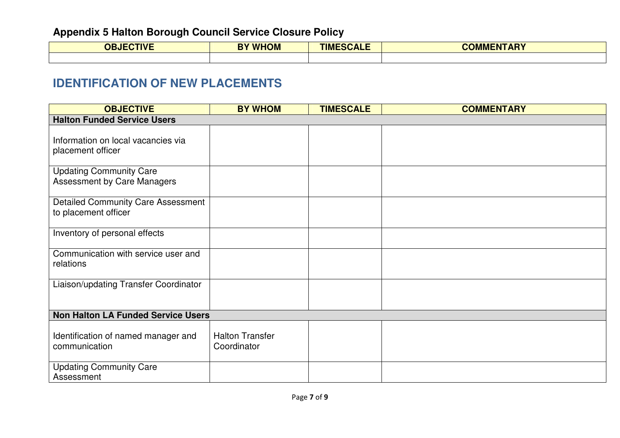| <b>OBJECTIVE</b> | <b>BY WHOM</b> | <b>TIMESCALE</b> | <b>COMMENTARY</b> |
|------------------|----------------|------------------|-------------------|
|                  |                |                  |                   |

#### **IDENTIFICATION OF NEW PLACEMENTS**

| <b>OBJECTIVE</b>                                                     | <b>BY WHOM</b>                        | <b>TIMESCALE</b> | <b>COMMENTARY</b> |
|----------------------------------------------------------------------|---------------------------------------|------------------|-------------------|
| <b>Halton Funded Service Users</b>                                   |                                       |                  |                   |
| Information on local vacancies via<br>placement officer              |                                       |                  |                   |
| <b>Updating Community Care</b><br><b>Assessment by Care Managers</b> |                                       |                  |                   |
| <b>Detailed Community Care Assessment</b><br>to placement officer    |                                       |                  |                   |
| Inventory of personal effects                                        |                                       |                  |                   |
| Communication with service user and<br>relations                     |                                       |                  |                   |
| Liaison/updating Transfer Coordinator                                |                                       |                  |                   |
| <b>Non Halton LA Funded Service Users</b>                            |                                       |                  |                   |
| Identification of named manager and<br>communication                 | <b>Halton Transfer</b><br>Coordinator |                  |                   |
| <b>Updating Community Care</b><br>Assessment                         |                                       |                  |                   |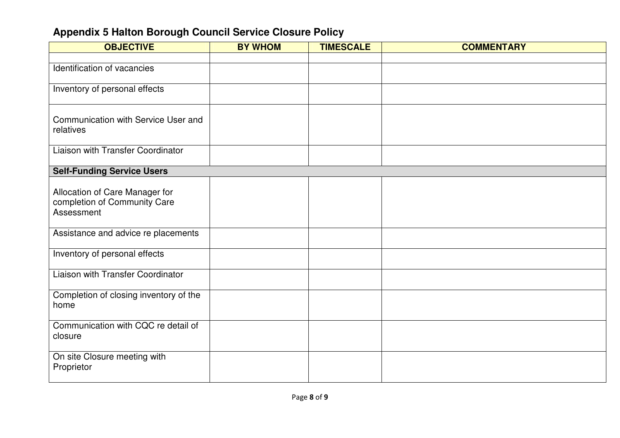| <b>OBJECTIVE</b>                                                             | <b>BY WHOM</b> | <b>TIMESCALE</b> | <b>COMMENTARY</b> |
|------------------------------------------------------------------------------|----------------|------------------|-------------------|
|                                                                              |                |                  |                   |
| Identification of vacancies                                                  |                |                  |                   |
| Inventory of personal effects                                                |                |                  |                   |
| Communication with Service User and<br>relatives                             |                |                  |                   |
| Liaison with Transfer Coordinator                                            |                |                  |                   |
| <b>Self-Funding Service Users</b>                                            |                |                  |                   |
| Allocation of Care Manager for<br>completion of Community Care<br>Assessment |                |                  |                   |
| Assistance and advice re placements                                          |                |                  |                   |
| Inventory of personal effects                                                |                |                  |                   |
| Liaison with Transfer Coordinator                                            |                |                  |                   |
| Completion of closing inventory of the<br>home                               |                |                  |                   |
| Communication with CQC re detail of<br>closure                               |                |                  |                   |
| On site Closure meeting with<br>Proprietor                                   |                |                  |                   |